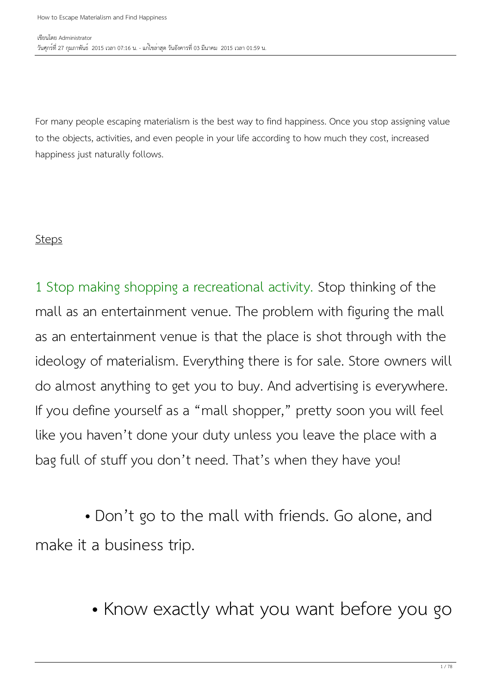For many people escaping materialism is the best way to find happiness. Once you stop assigning value to the objects, activities, and even people in your life according to how much they cost, increased happiness just naturally follows.

#### **Steps**

1 Stop making shopping a recreational activity. Stop thinking of the mall as an entertainment venue. The problem with figuring the mall as an entertainment venue is that the place is shot through with the ideology of materialism. Everything there is for sale. Store owners will do almost anything to get you to buy. And advertising is everywhere. If you define yourself as a "mall shopper," pretty soon you will feel like you haven't done your duty unless you leave the place with a bag full of stuff you don't need. That's when they have you!

 • Don't go to the mall with friends. Go alone, and make it a business trip.

• Know exactly what you want before you go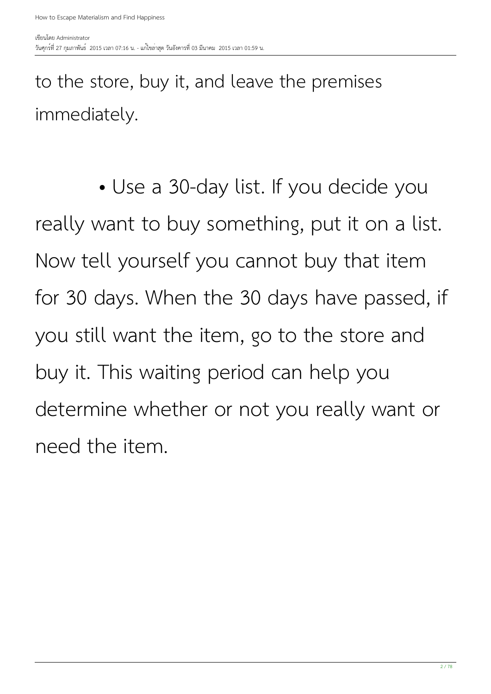to the store, buy it, and leave the premises immediately.

 • Use a 30-day list. If you decide you really want to buy something, put it on a list. Now tell yourself you cannot buy that item for 30 days. When the 30 days have passed, if you still want the item, go to the store and buy it. This waiting period can help you determine whether or not you really want or need the item.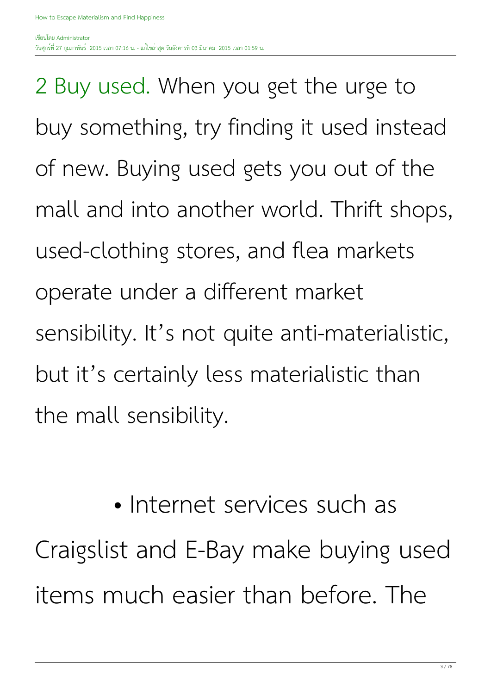2 Buy used. When you get the urge to buy something, try finding it used instead of new. Buying used gets you out of the mall and into another world. Thrift shops, used-clothing stores, and flea markets operate under a different market sensibility. It's not quite anti-materialistic, but it's certainly less materialistic than the mall sensibility.

• Internet services such as Craigslist and E-Bay make buying used items much easier than before. The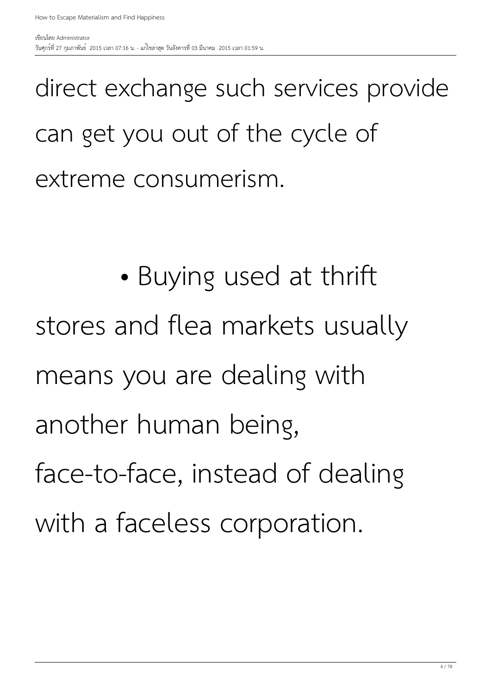direct exchange such services provide can get you out of the cycle of extreme consumerism.

 • Buying used at thrift stores and flea markets usually means you are dealing with another human being, face-to-face, instead of dealing with a faceless corporation.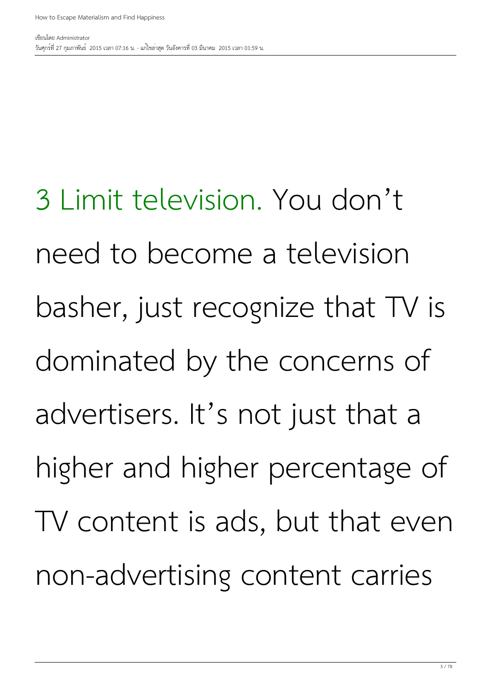3 Limit television. You don't need to become a television basher, just recognize that TV is dominated by the concerns of advertisers. It's not just that a higher and higher percentage of TV content is ads, but that even non-advertising content carries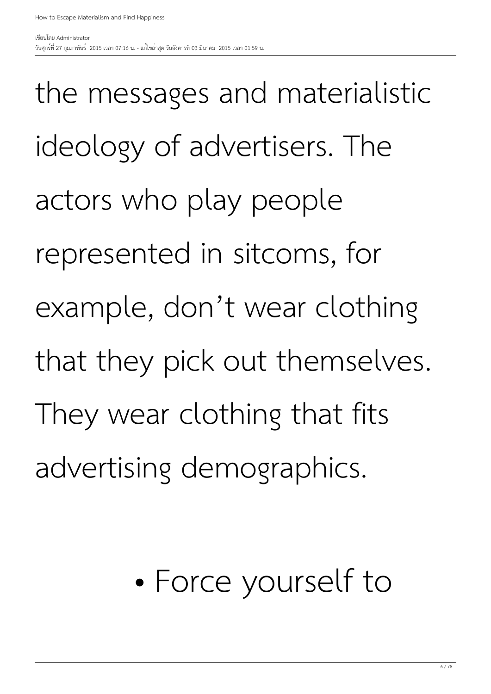the messages and materialistic ideology of advertisers. The actors who play people represented in sitcoms, for example, don't wear clothing that they pick out themselves. They wear clothing that fits advertising demographics.

#### • Force yourself to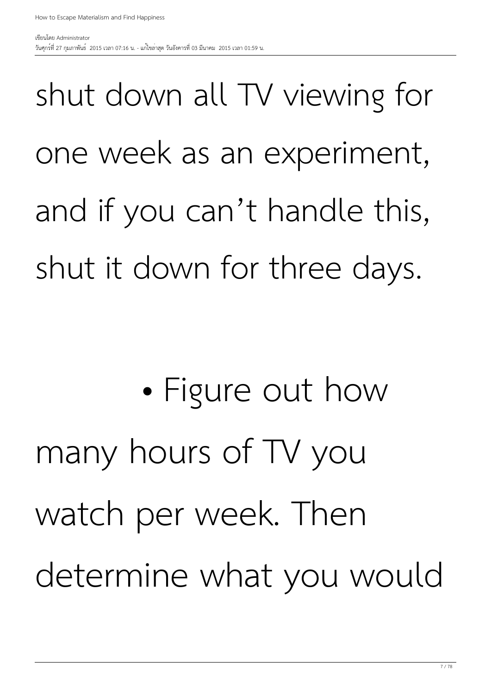#### shut down all TV viewing for one week as an experiment, and if you can't handle this, shut it down for three days.

#### • Figure out how many hours of TV you watch per week. Then determine what you would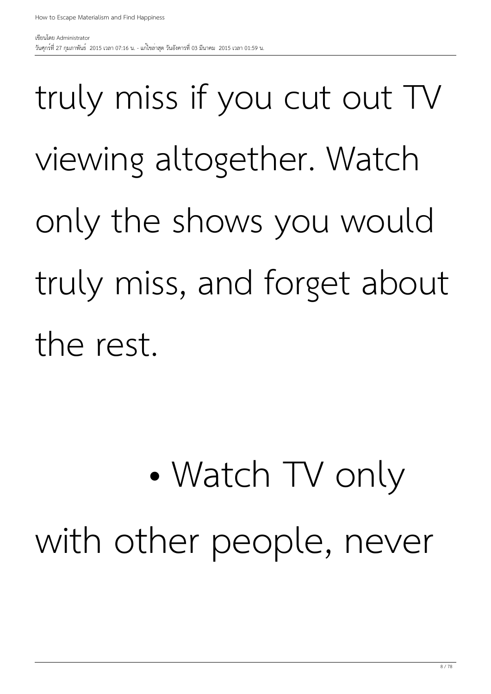truly miss if you cut out TV viewing altogether. Watch only the shows you would truly miss, and forget about the rest.

• Watch TV only with other people, never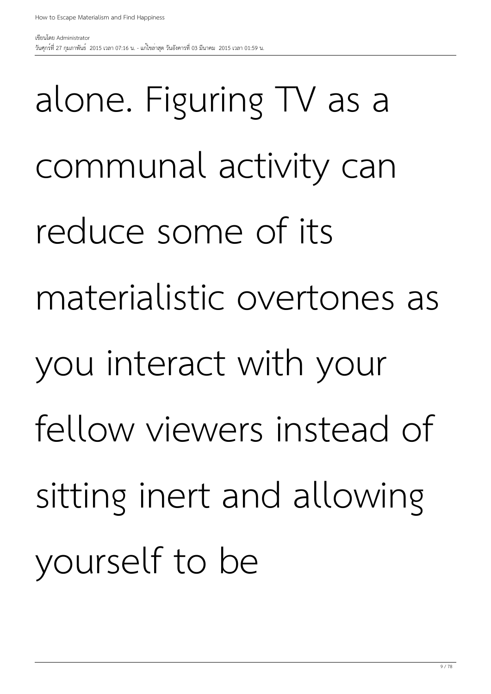alone. Figuring TV as a communal activity can reduce some of its materialistic overtones as you interact with your fellow viewers instead of sitting inert and allowing yourself to be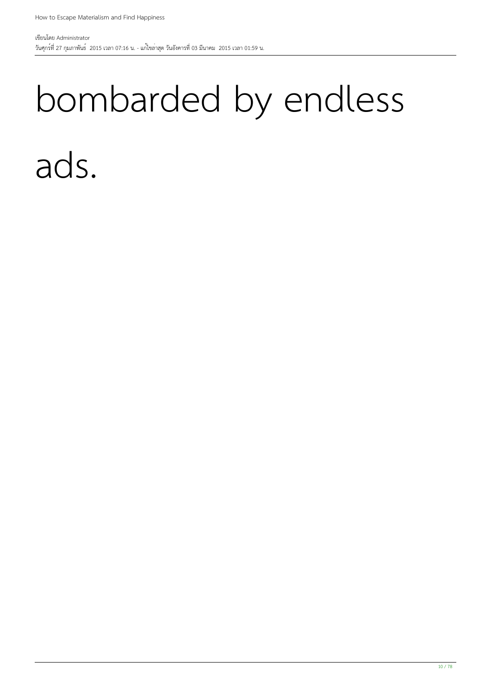#### bombarded by endless

ads.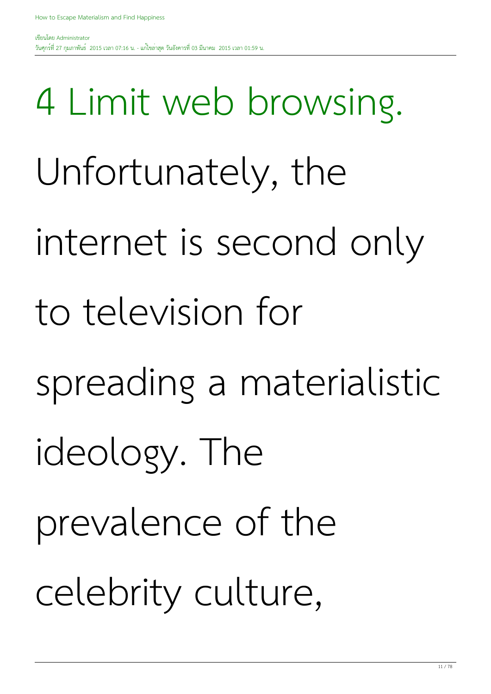4 Limit web browsing. Unfortunately, the internet is second only to television for spreading a materialistic ideology. The prevalence of the celebrity culture,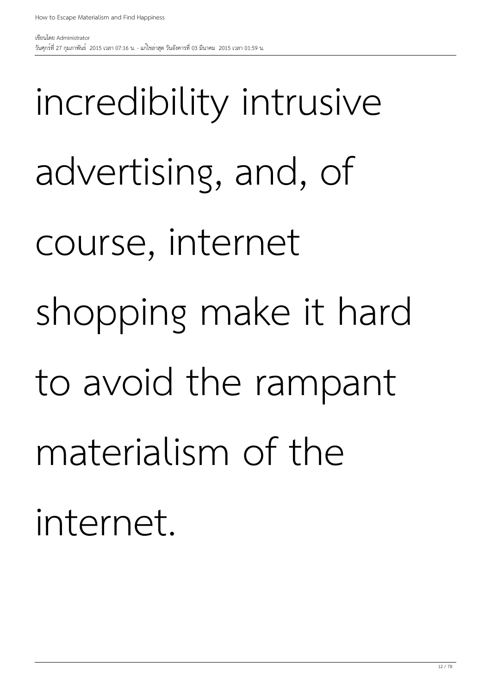incredibility intrusive advertising, and, of course, internet shopping make it hard to avoid the rampant materialism of the internet.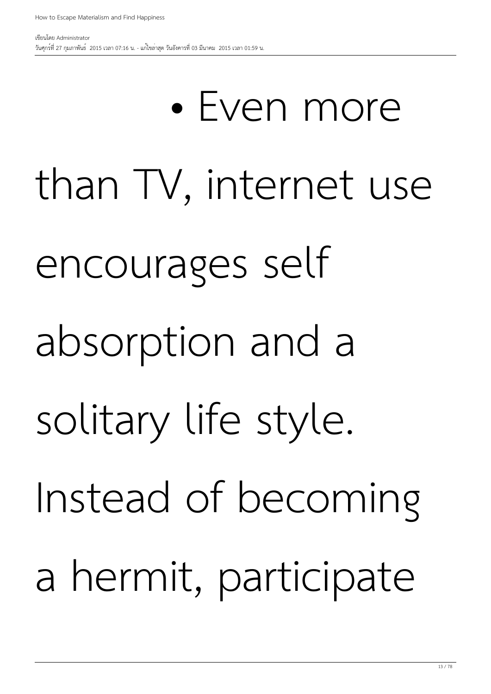### • Even more than TV, internet use encourages self absorption and a solitary life style. Instead of becoming a hermit, participate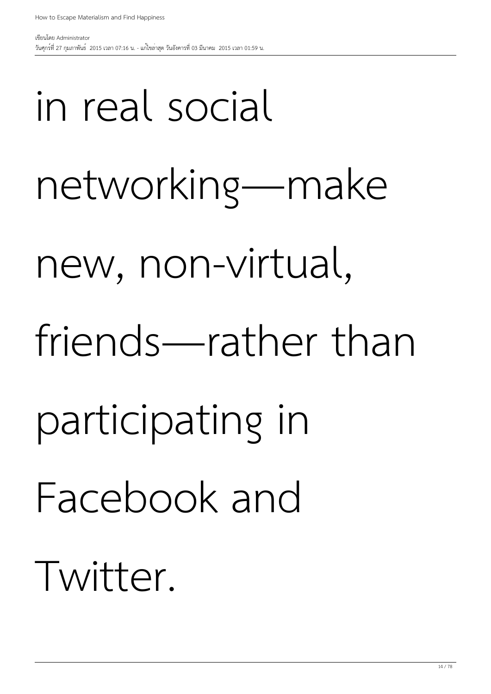### in real social networking—make new, non-virtual, friends—rather than participating in Facebook and Twitter.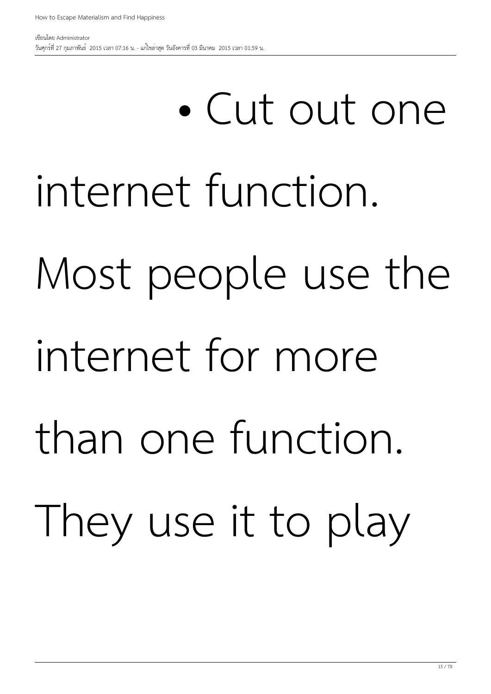## • Cut out one internet function. Most people use the internet for more than one function. They use it to play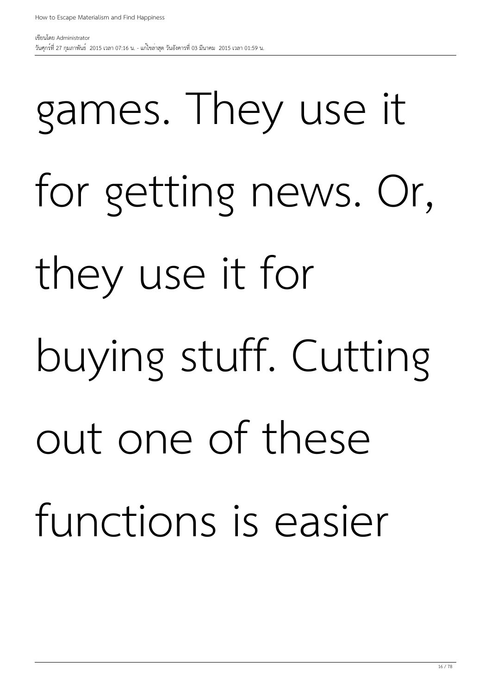### games. They use it for getting news. Or, they use it for buying stuff. Cutting out one of these functions is easier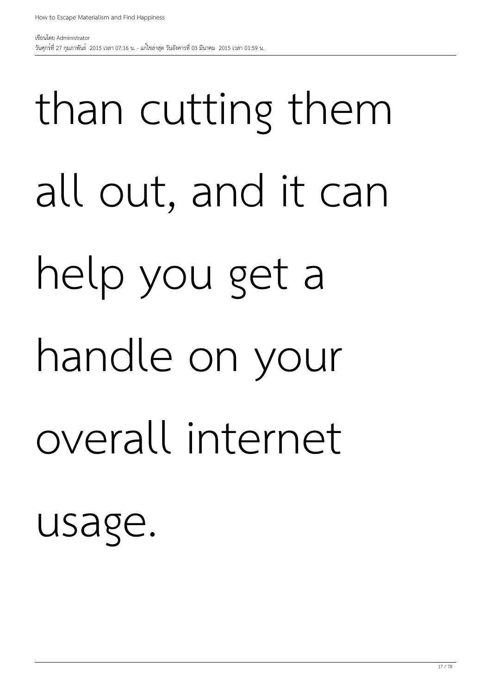# than cutting them all out, and it can help you get a handle on your overall internet

usage.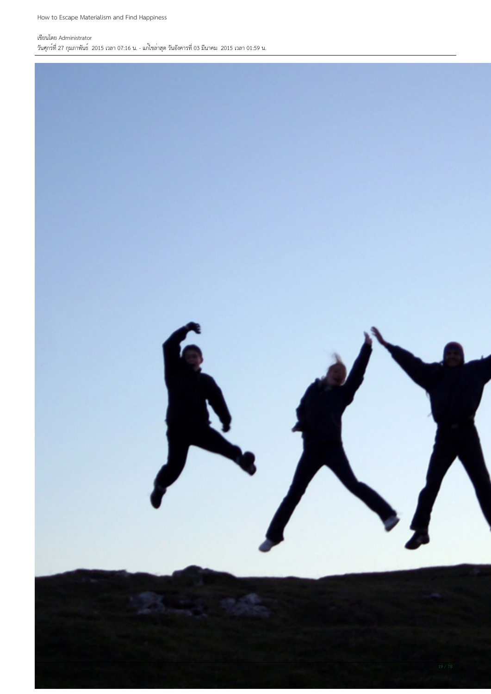How to Escape Materialism and Find Happiness

#### เขียนโดย Administrator วันศุกร์ที่ 27 กุมภาพันธ์ 2015 เวลา 07:16 น. - แก้ไขล่าสุด วันอังคารที่ 03 มีนาคม 2015 เวลา 01:59 น.

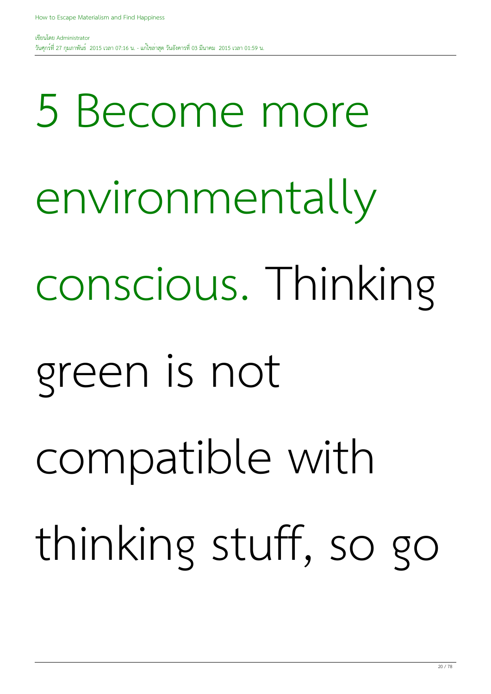5 Become more environmentally conscious. Thinking green is not compatible with thinking stuff, so go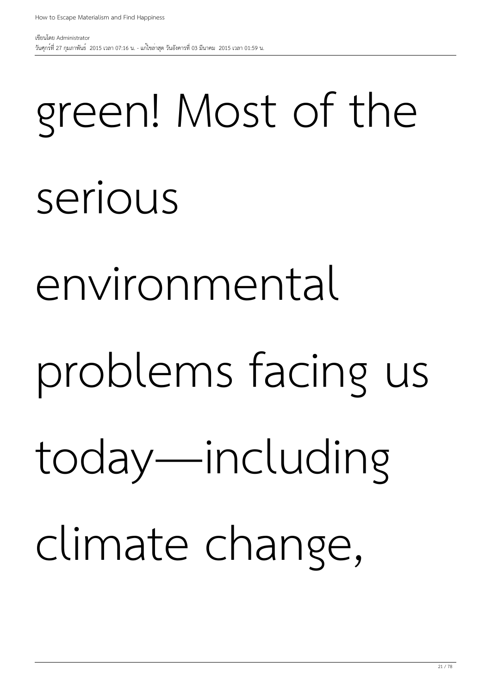## serious environmental problems facing us today—including climate change,

### green! Most of the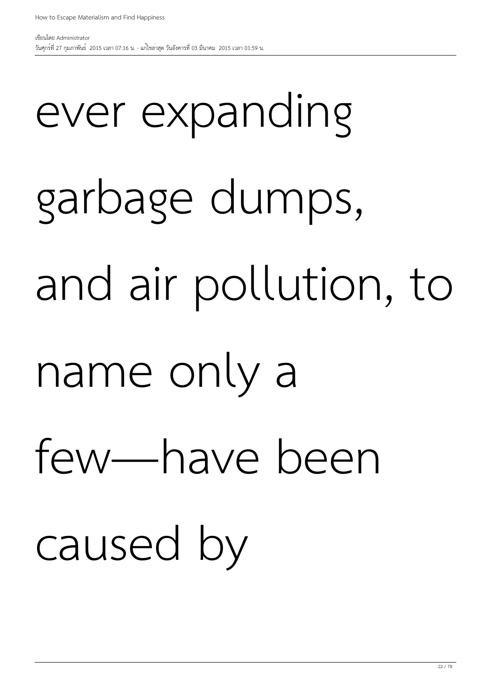# ever expanding garbage dumps, and air pollution, to name only a few—have been caused by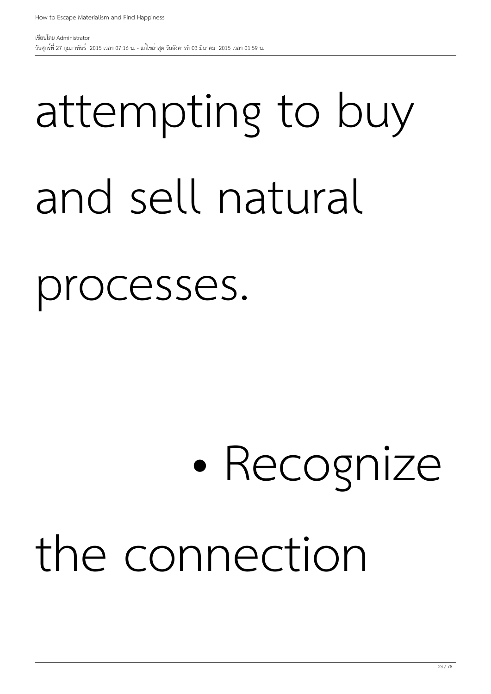# attempting to buy and sell natural

#### processes.

### • Recognize the connection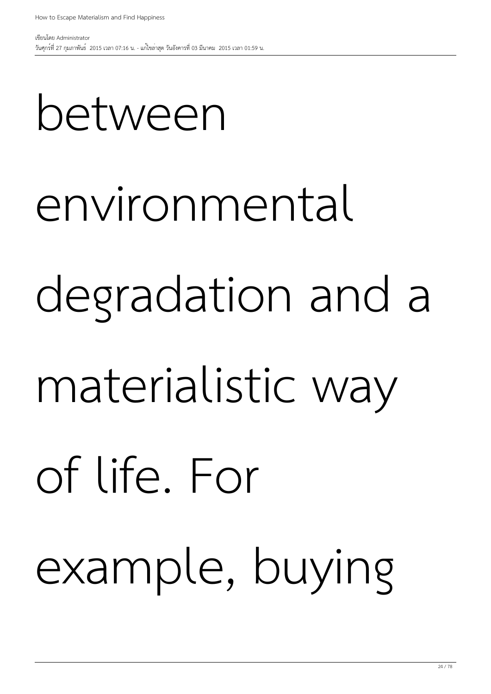# between environmental degradation and a materialistic way of life. For example, buying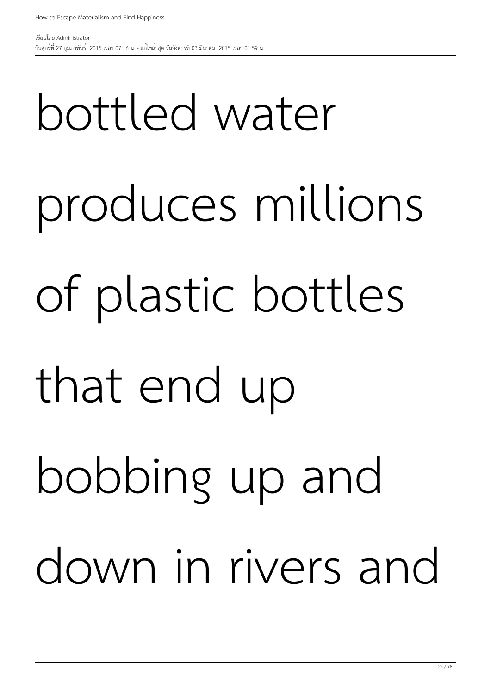# bottled water produces millions of plastic bottles that end up bobbing up and down in rivers and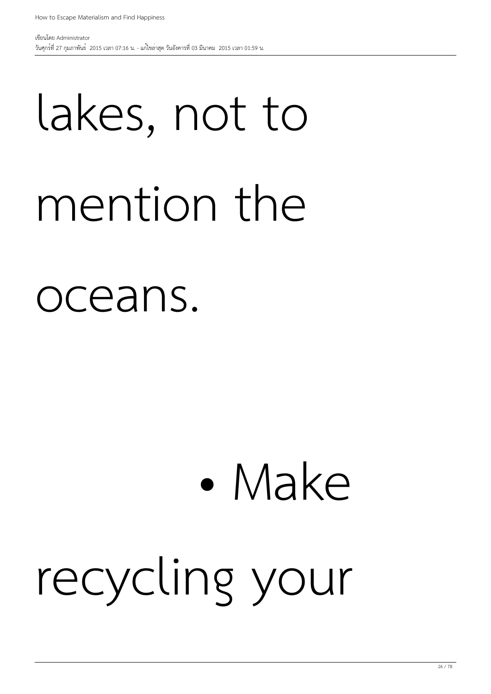### lakes, not to mention the oceans.

### • Make recycling your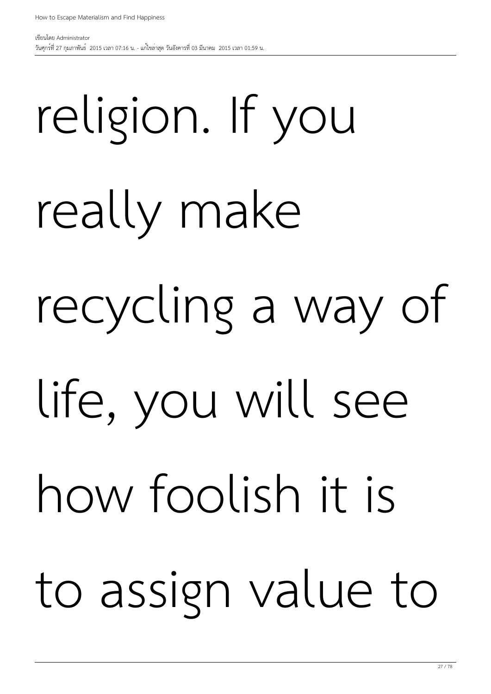religion. If you

really make recycling a way of life, you will see how foolish it is to assign value to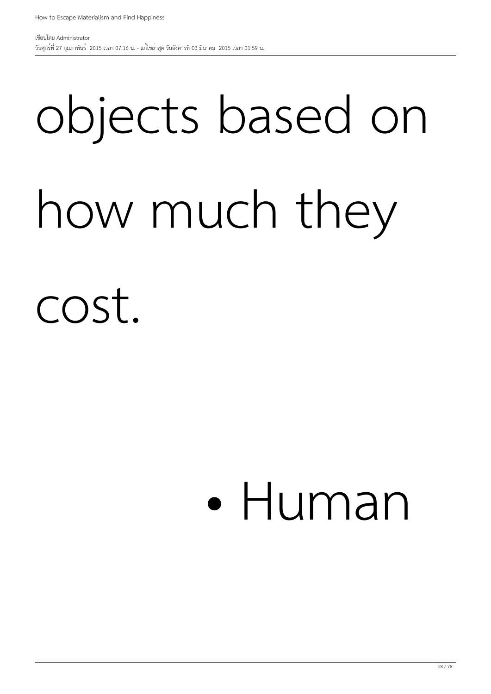# objects based on how much they

cost.

#### • Human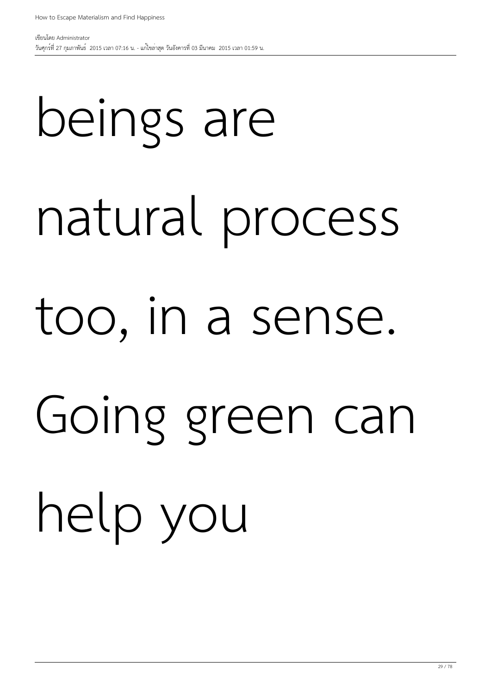# beings are natural process too, in a sense. Going green can help you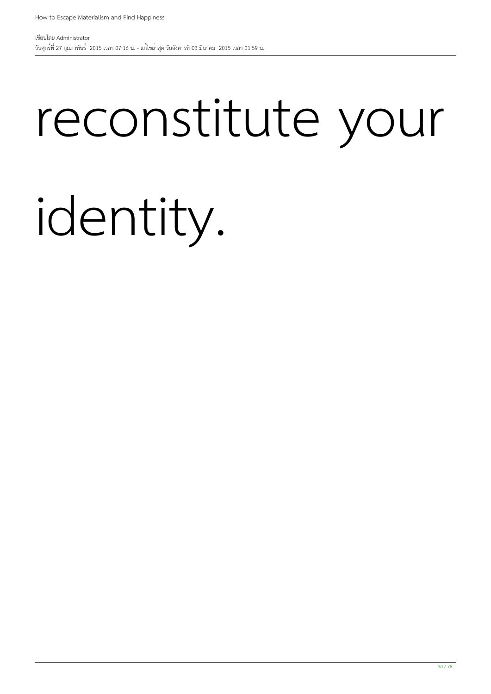### reconstitute your

### identity.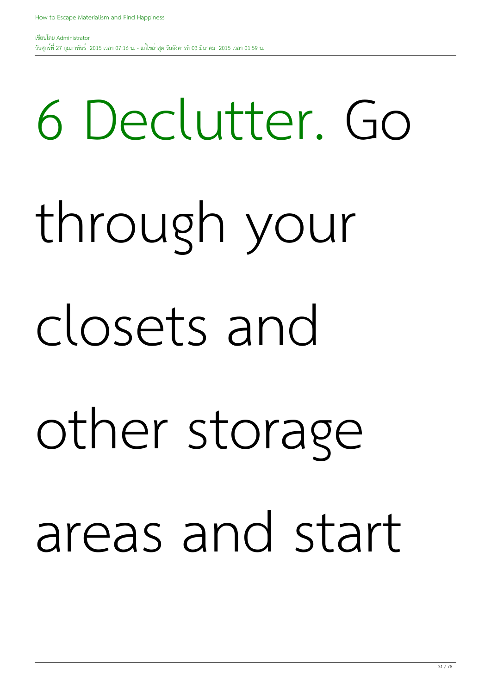# 6 Declutter. Go through your closets and other storage areas and start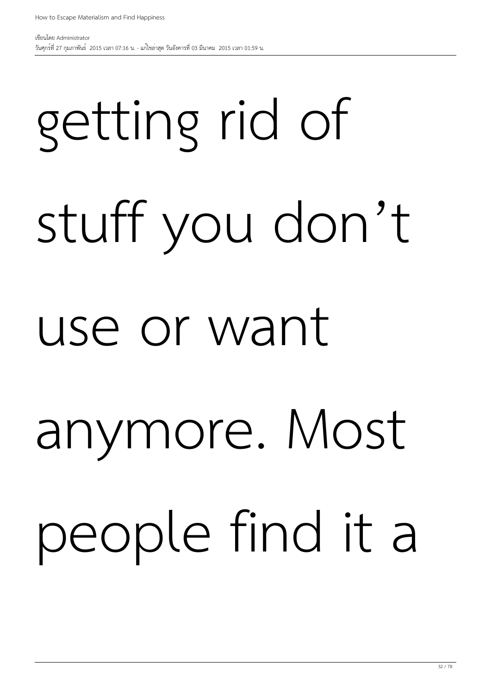# use or want anymore. Most people find it a

# stuff you don't

### getting rid of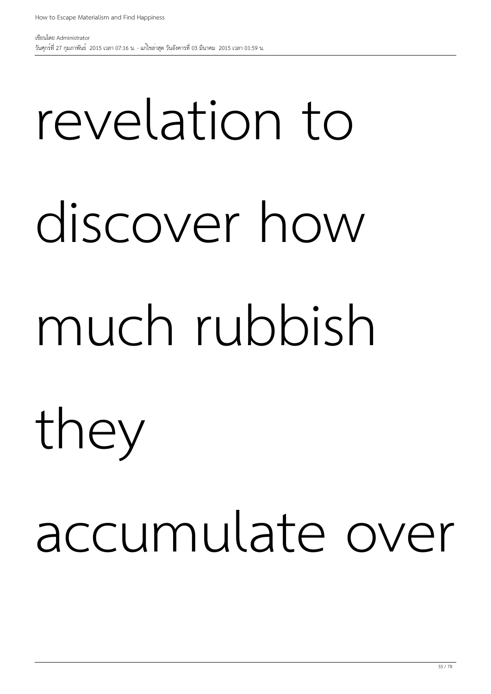# revelation to discover how much rubbish they accumulate over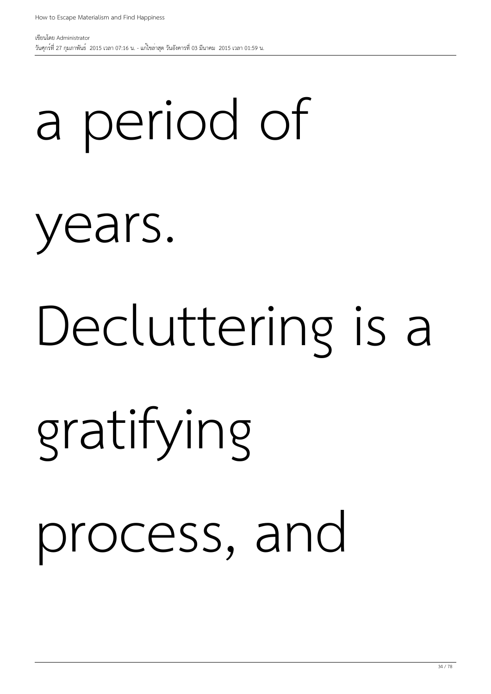# Decluttering is a gratifying process, and

#### years.

How to Escape Materialism and Find Happiness

### a period of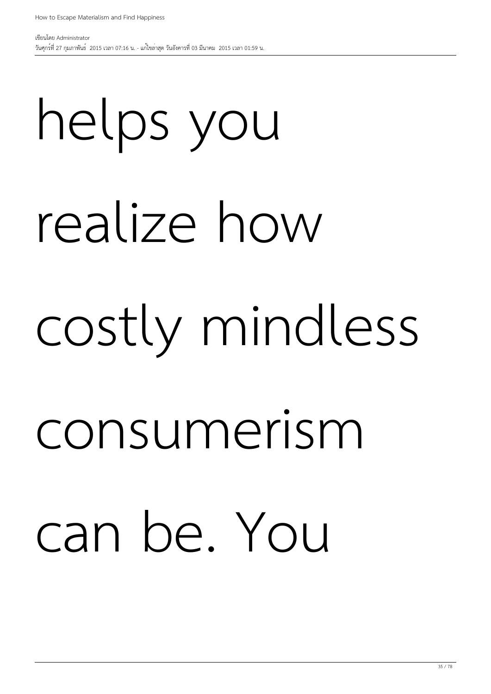# helps you realize how costly mindless consumerism can be. You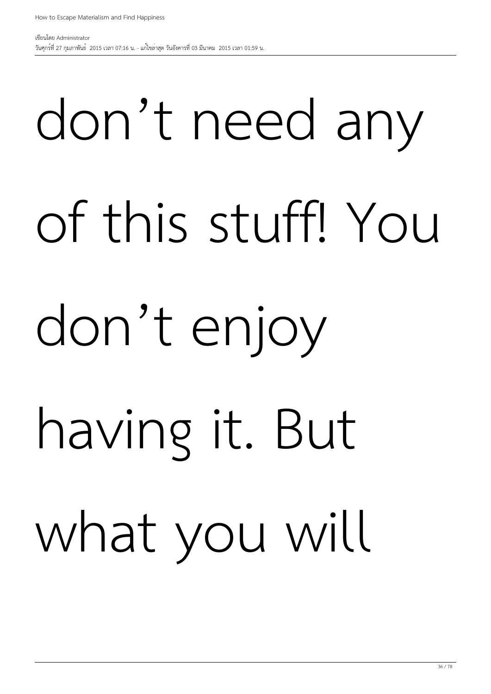# don't need any of this stuff! You don't enjoy having it. But what you will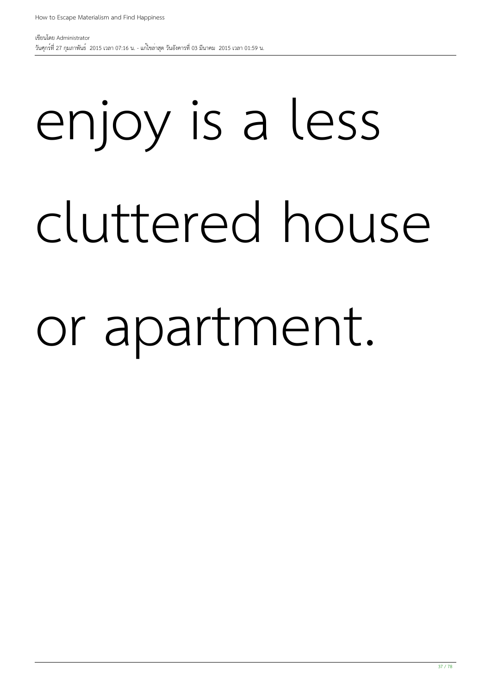### enjoy is a less cluttered house or apartment.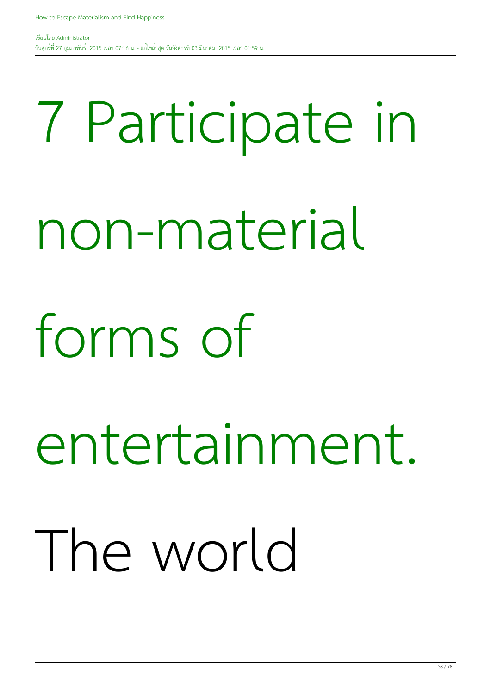### 7 Participate in

non-material

#### forms of

#### entertainment.

#### The world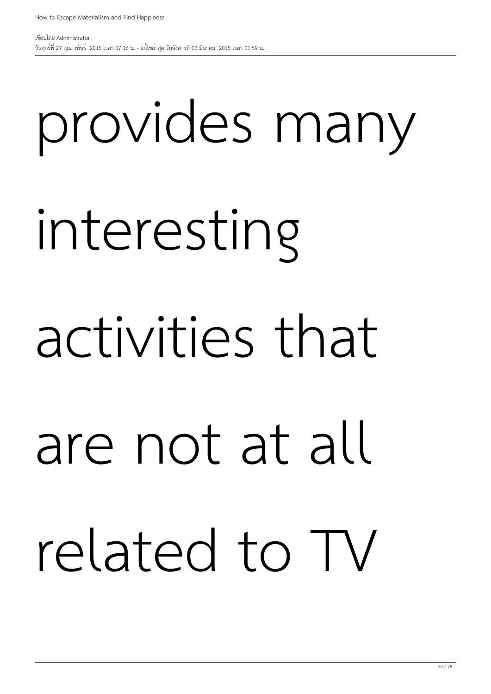## provides many interesting activities that are not at all related to TV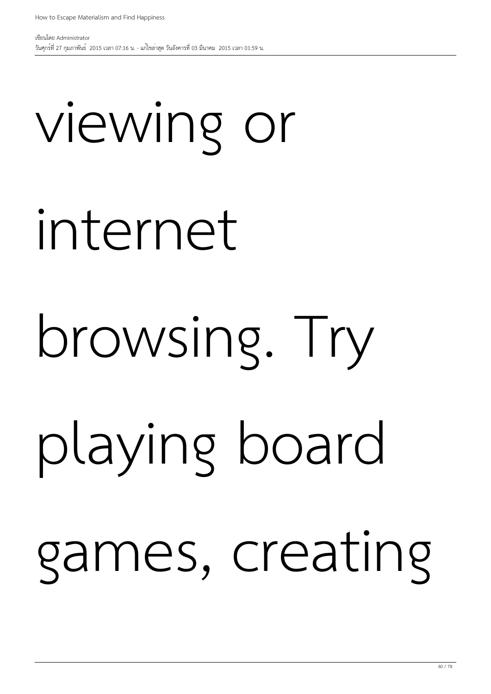## viewing or internet browsing. Try playing board games, creating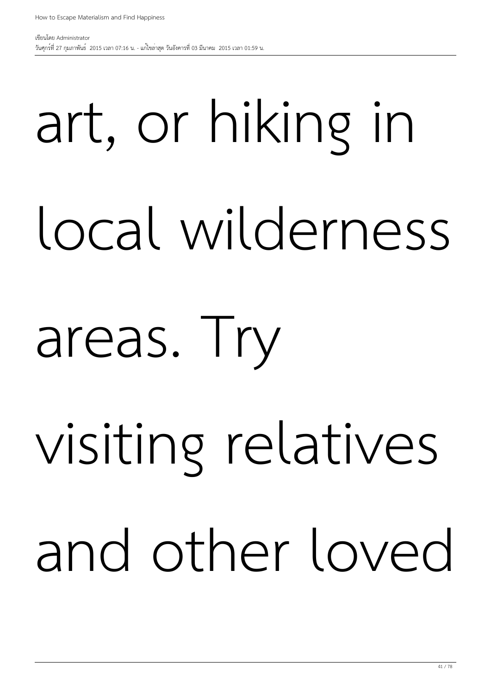## art, or hiking in local wilderness areas. Try

### visiting relatives and other loved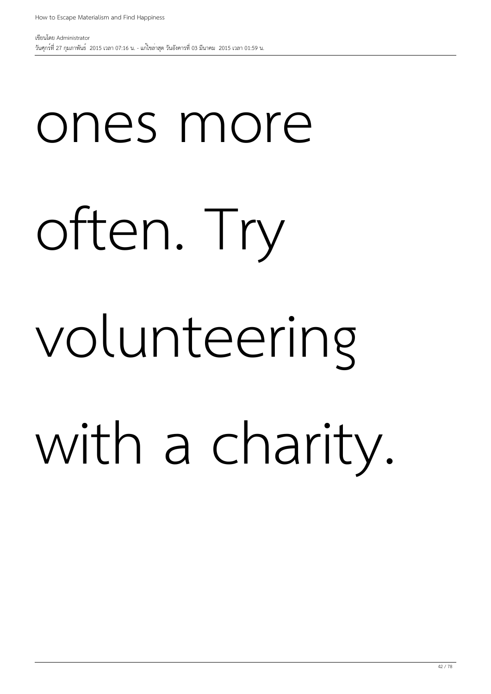#### ones more

#### often. Try

### volunteering with a charity.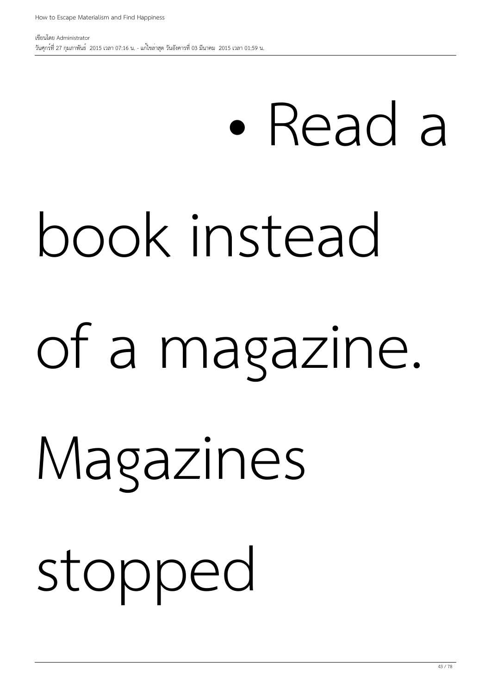### • Read a

### book instead

### of a magazine.

### Magazines

stopped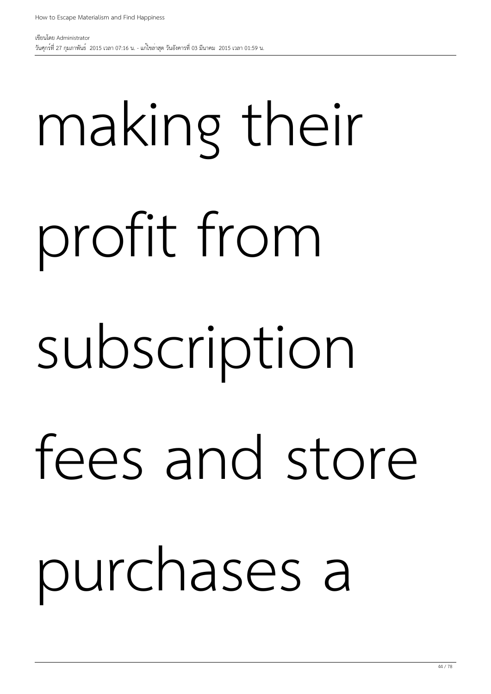## making their profit from subscription fees and store purchases a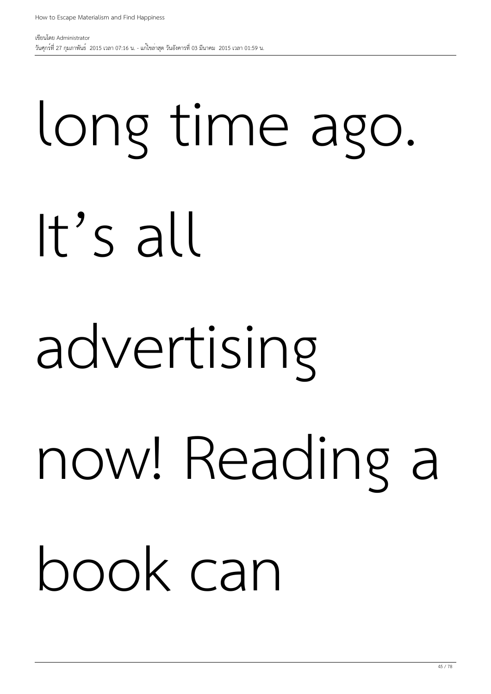### long time ago. It's all

#### advertising

### now! Reading a

#### book can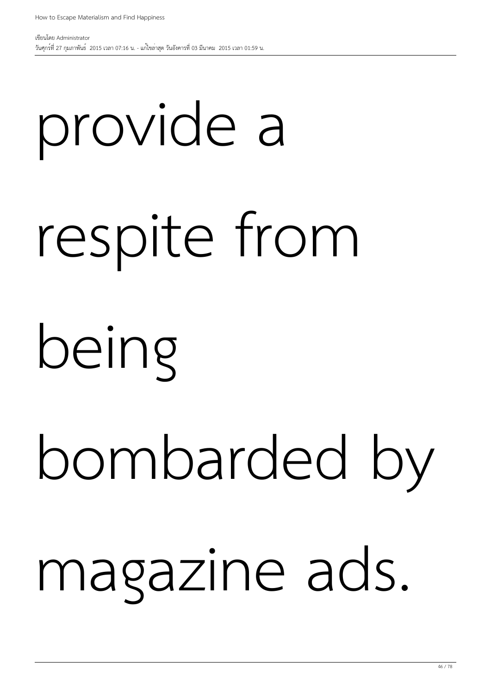## provide a respite from being bombarded by magazine ads.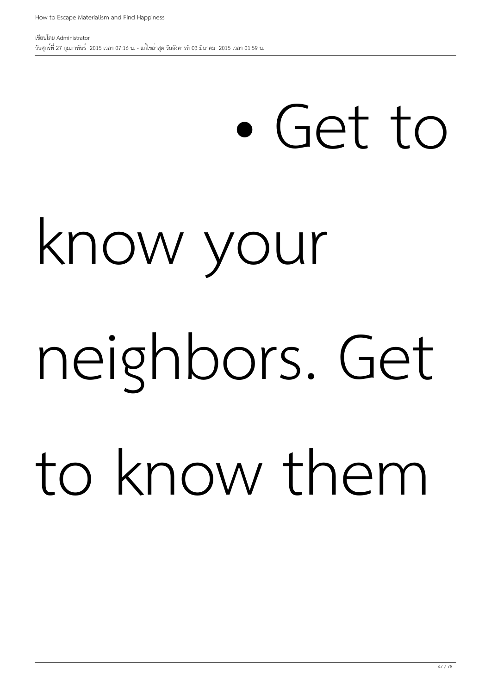### • Get to

#### know your

### neighbors. Get

### to know them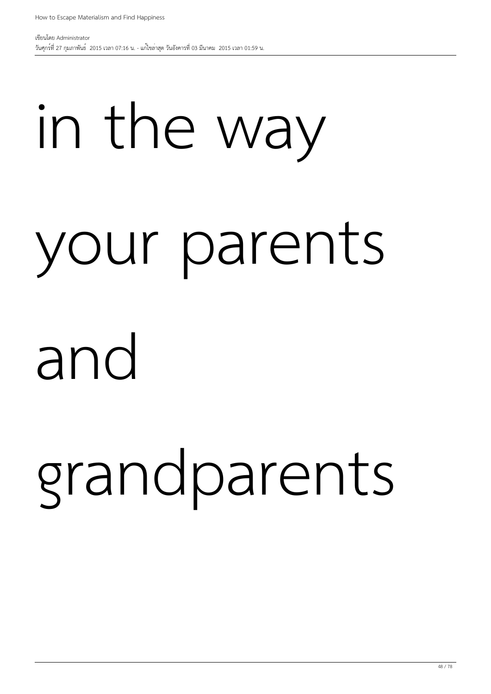## in the way your parents and grandparents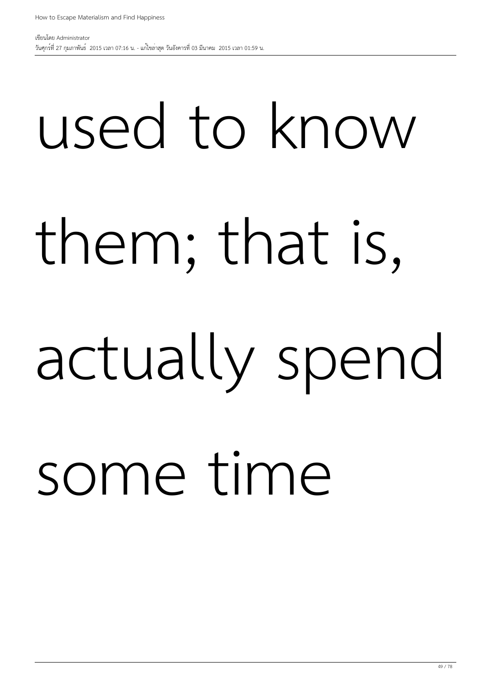## used to know them; that is, actually spend

some time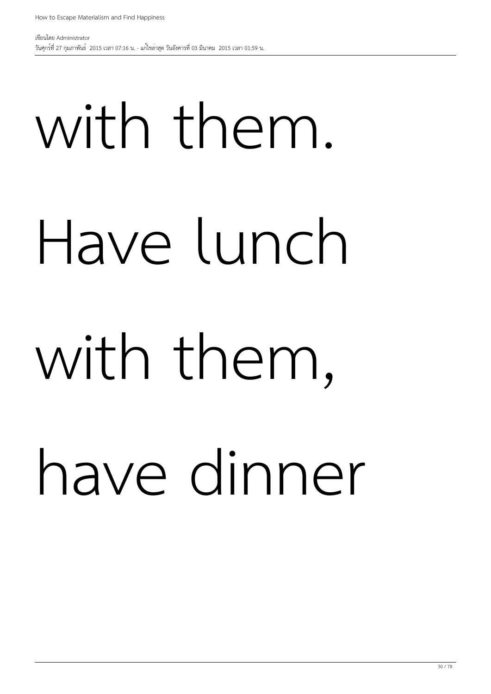เขียนโดย Administrator วันศุกร์ที่ 27 กุมภาพันธ์ 2015 เวลา 07:16 น. - แก้ไขล่าสุด วันอังคารที่ 03 มีนาคม 2015 เวลา 01:59 น.

## with them. Have lunch with them, have dinner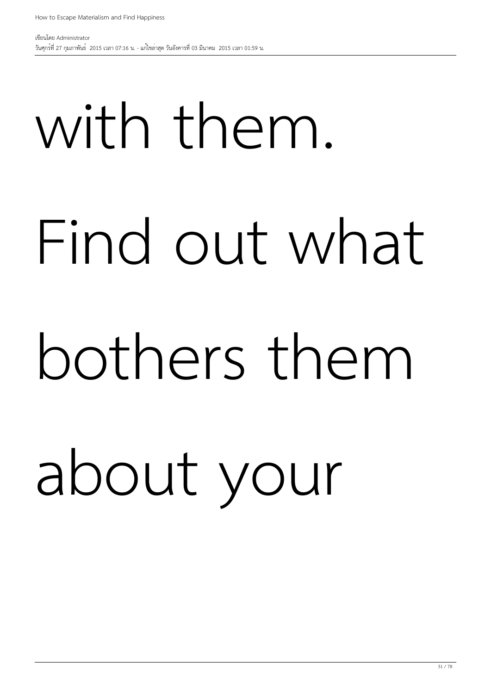เขียนโดย Administrator วันศุกร์ที่ 27 กุมภาพันธ์ 2015 เวลา 07:16 น. - แก้ไขล่าสุด วันอังคารที่ 03 มีนาคม 2015 เวลา 01:59 น.

## with them. Find out what bothers them about your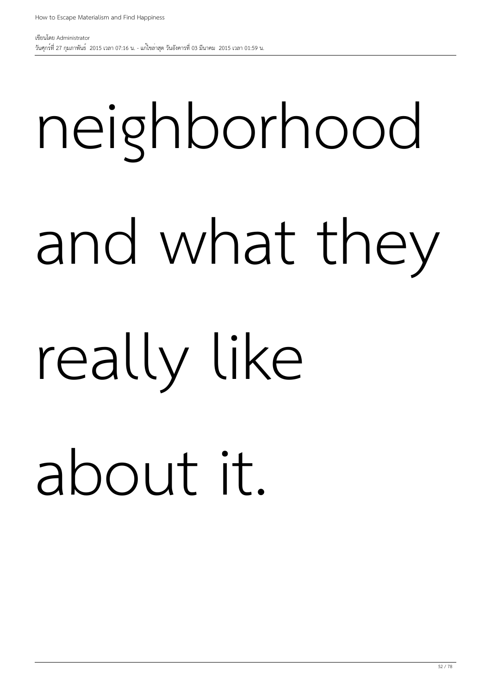## neighborhood and what they really like about it.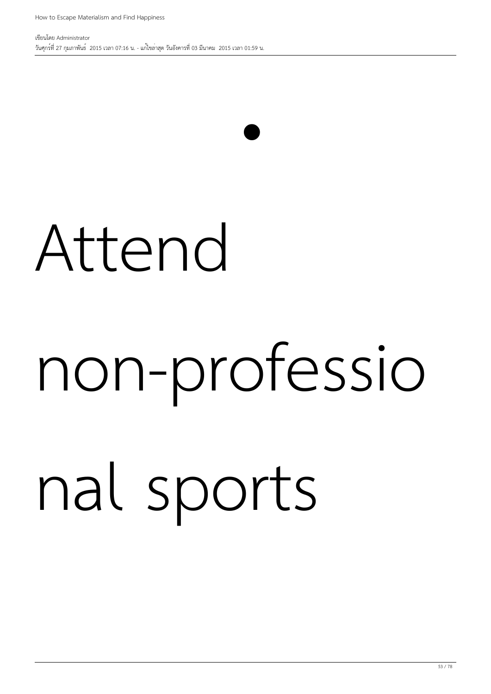How to Escape Materialism and Find Happiness

•

### Attend

### non-professio

nal sports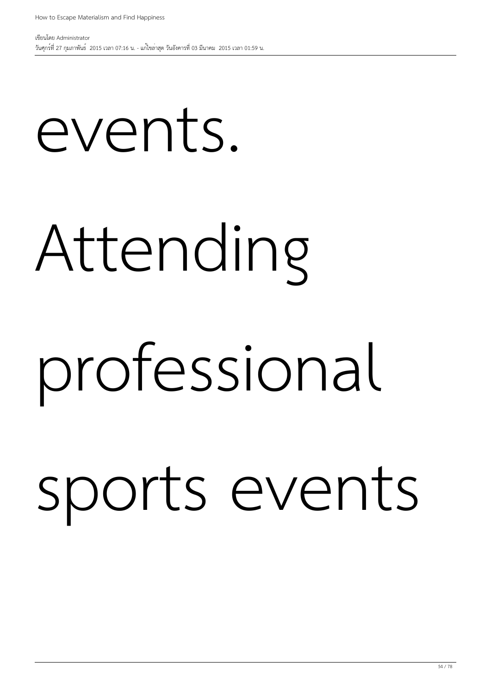events.

# Attending

### professional

### sports events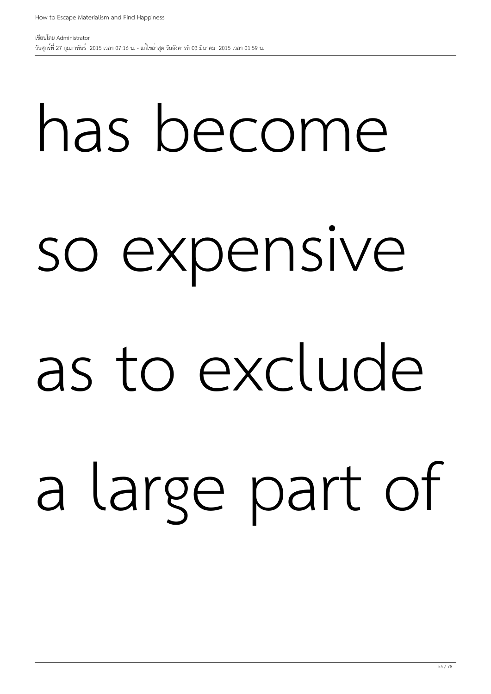## has become so expensive as to exclude a large part of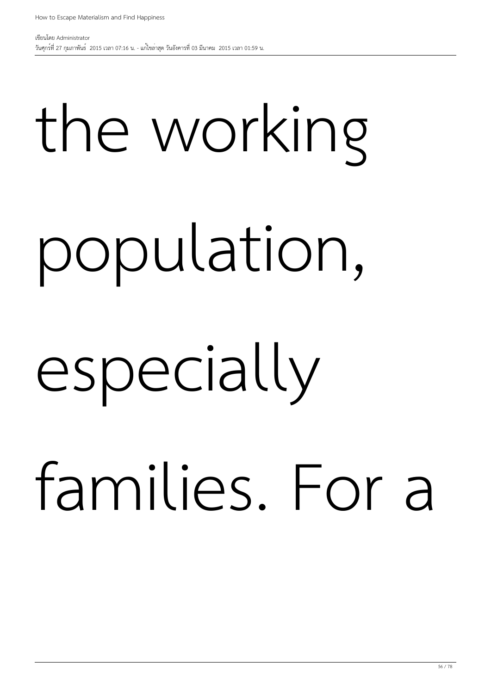## the working population, especially

### families. For a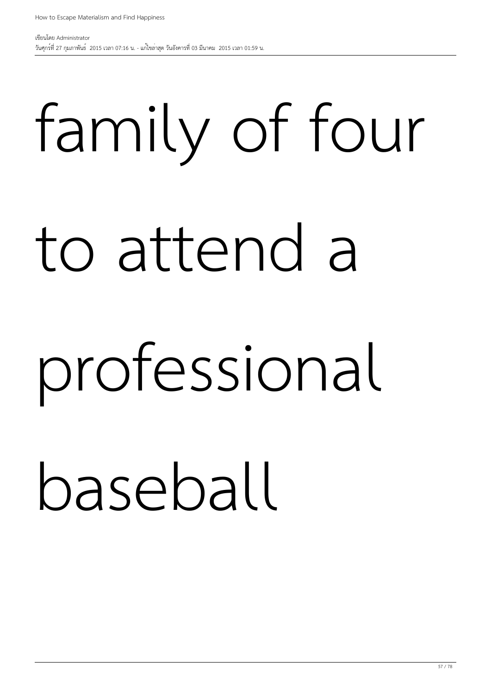### family of four to attend a

### professional

baseball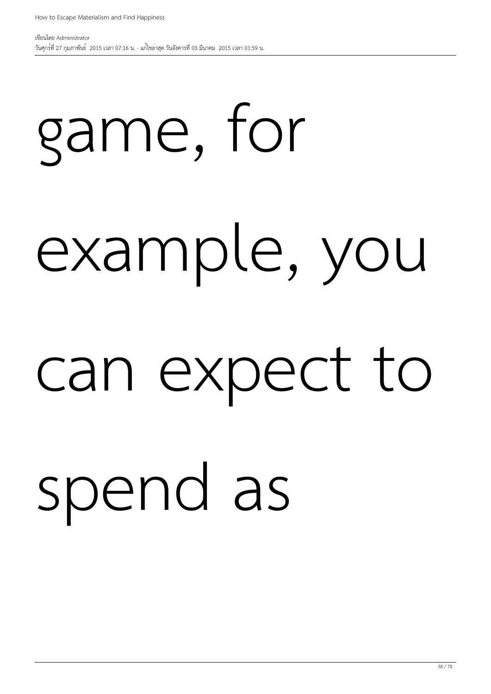# can expect to spend as

# example, you

### game, for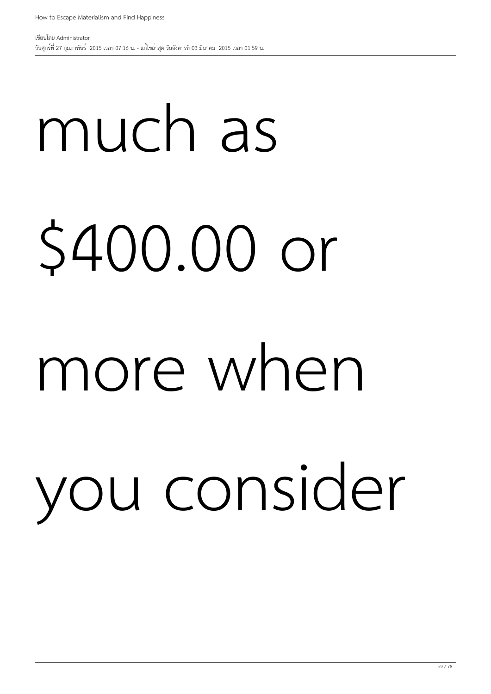## much as \$400.00 or more when you consider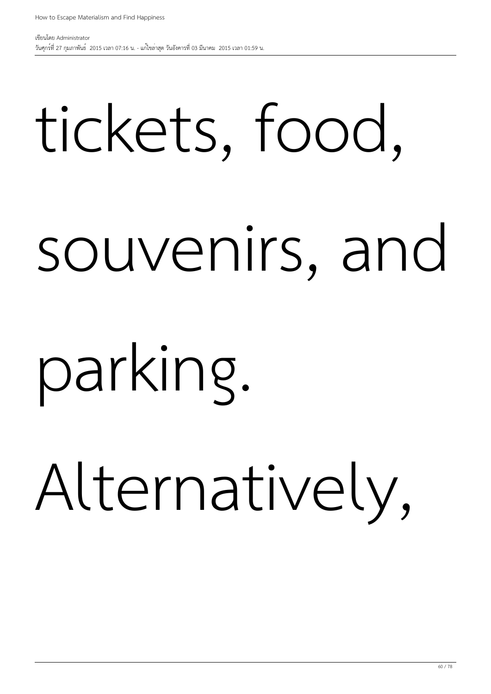## tickets, food, souvenirs, and

### parking.

### Alternatively,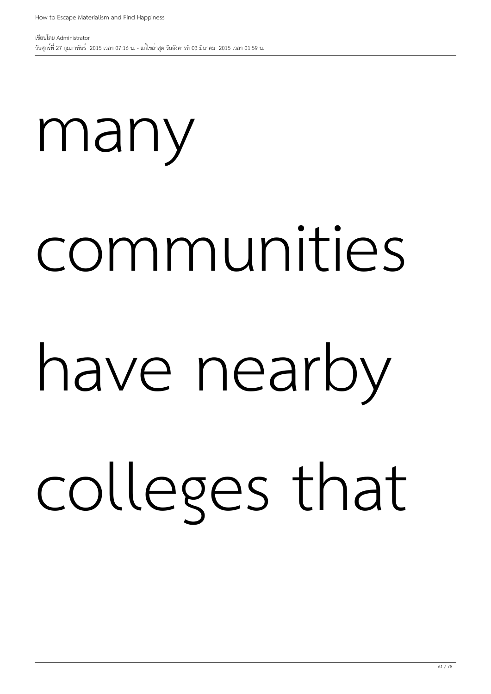#### many

#### communities

# have nearby

### colleges that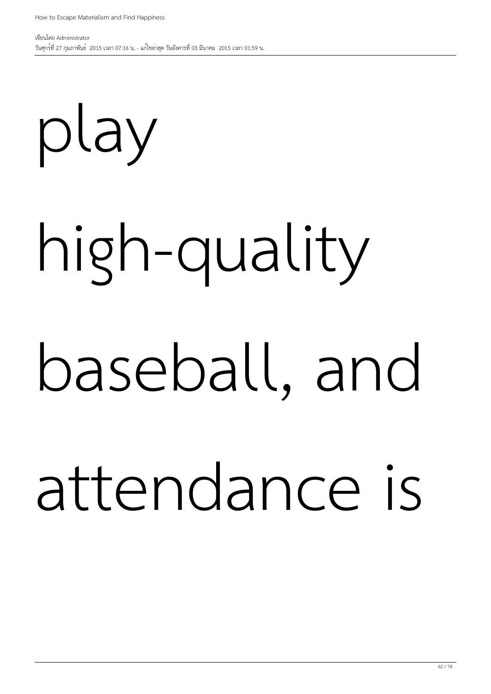### play

## high-quality baseball, and attendance is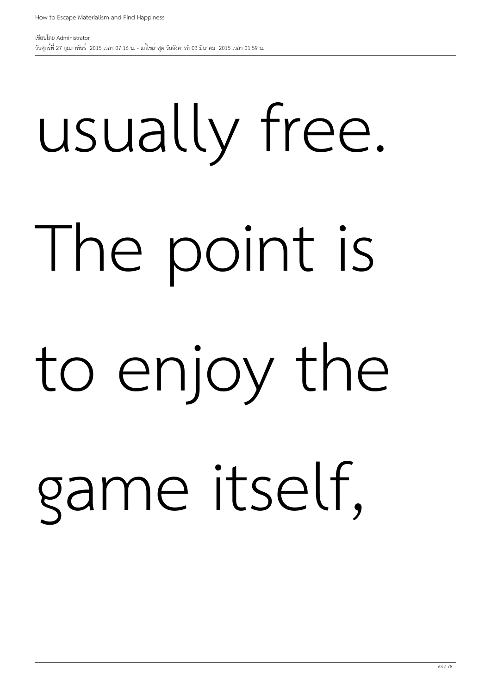# usually free. The point is to enjoy the game itself,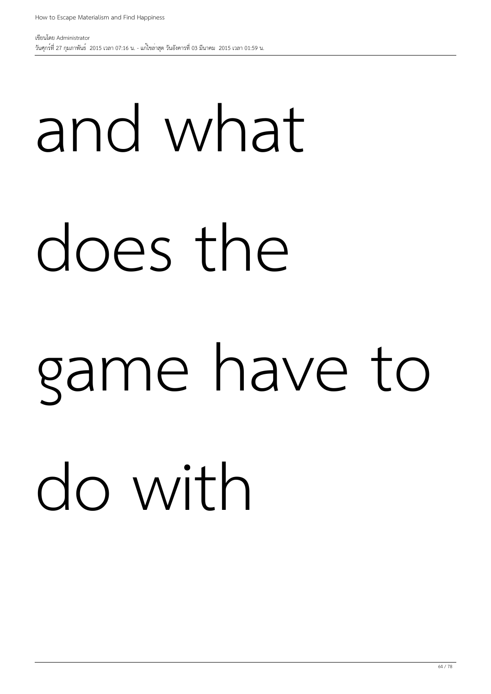เขียนโดย Administrator วันศุกร์ที่ 27 กุมภาพันธ์ 2015 เวลา 07:16 น. - แก้ไขล่าสุด วันอังคารที่ 03 มีนาคม 2015 เวลา 01:59 น.

## and what does the game have to do with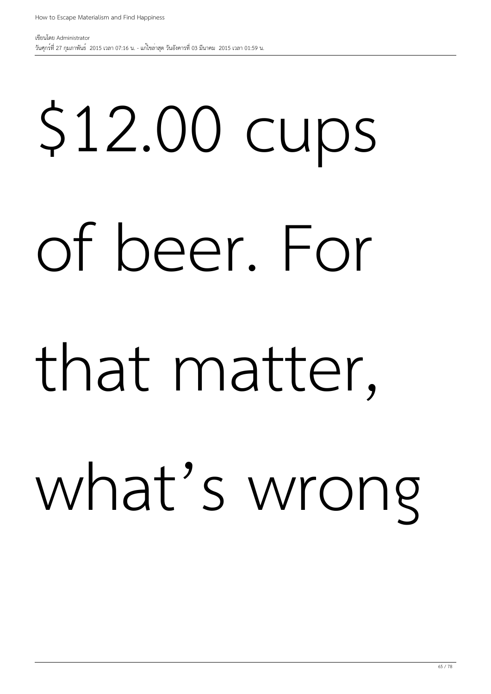# \$12.00 cups of beer. For

### that matter, what's wrong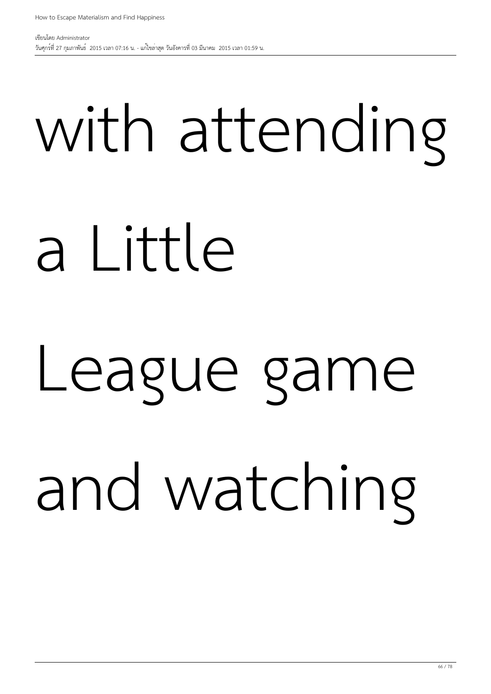## with attending a Little League game and watching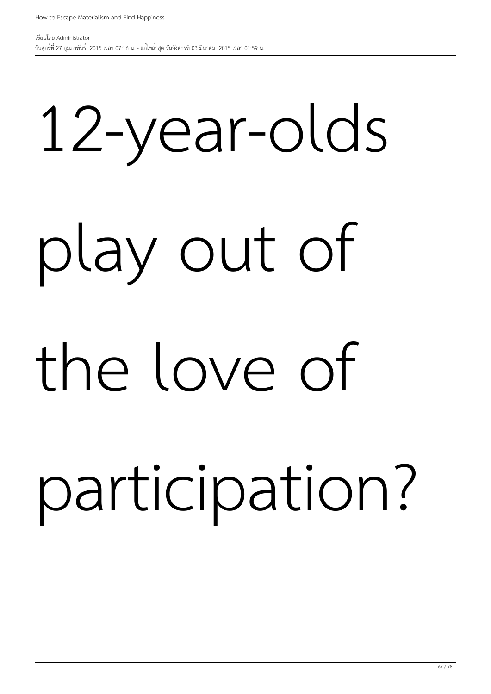### 12-year-olds play out of

### the love of

### participation?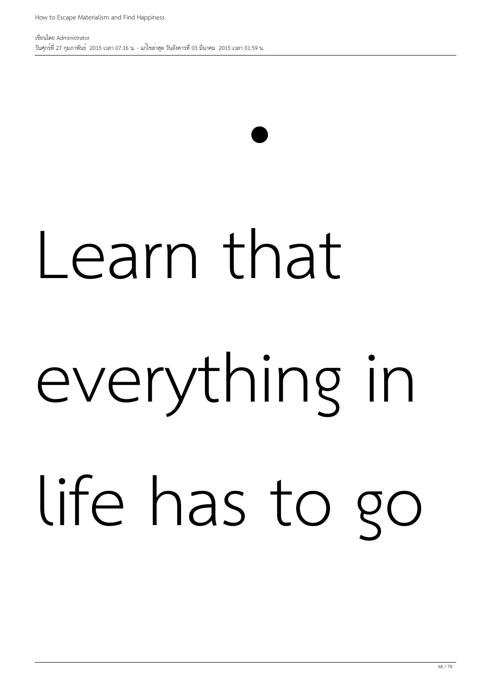•

## Learn that everything in life has to go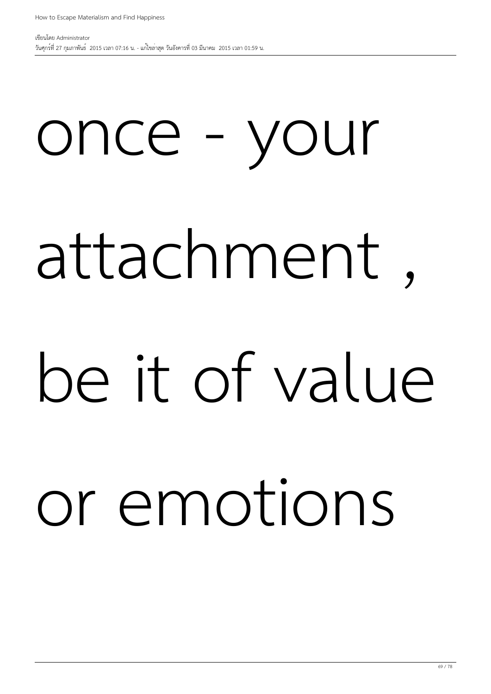# once - your attachment be it of value or emotions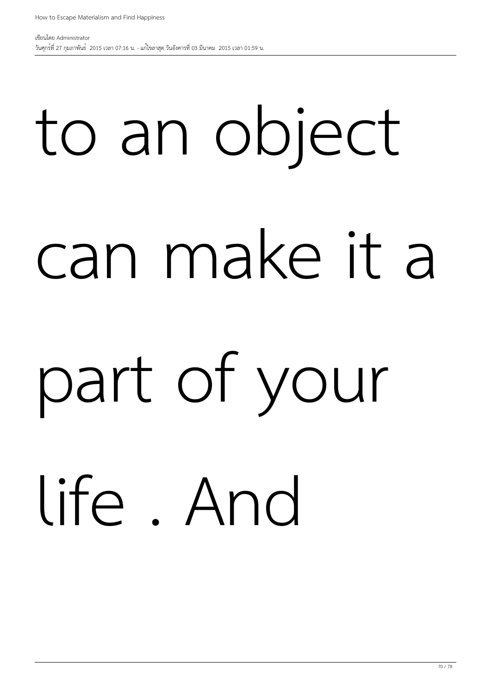# to an object can make it a part of your life . And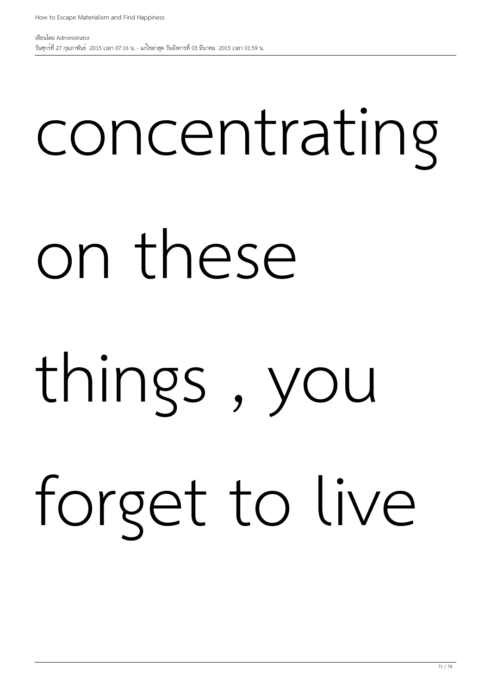# concentrating on these things , you forget to live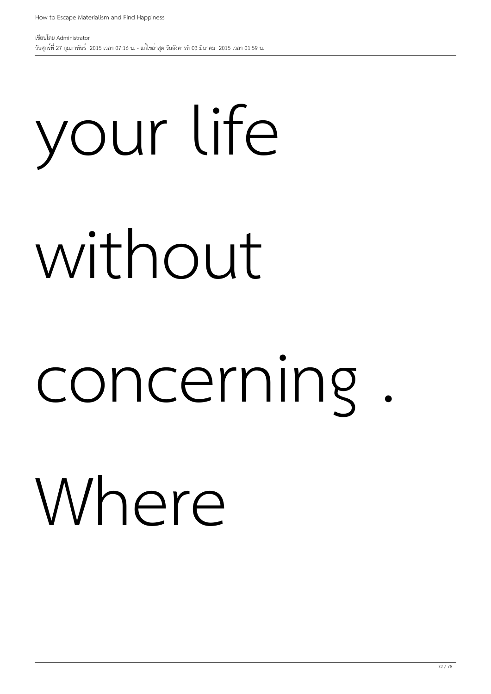เขียนโดย Administrator วันศุกร์ที่ 27 กุมภาพันธ์ 2015 เวลา 07:16 น. - แก้ไขล่าสุด วันอังคารที่ 03 มีนาคม 2015 เวลา 01:59 น.

# your life without

#### concerning

### Where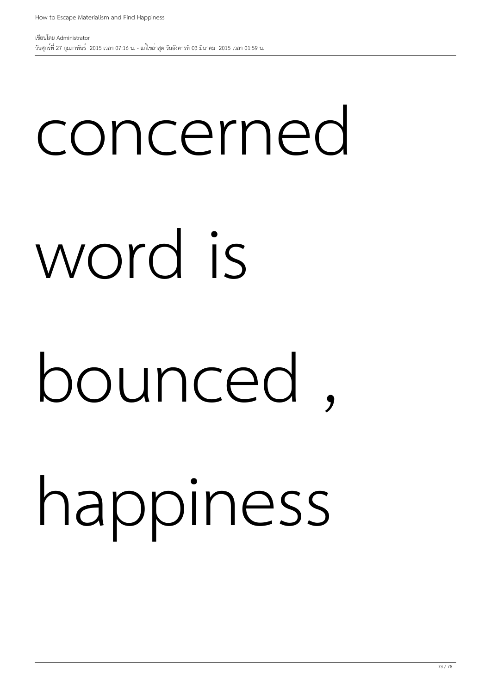## concerned word is

#### bounced ,

#### happiness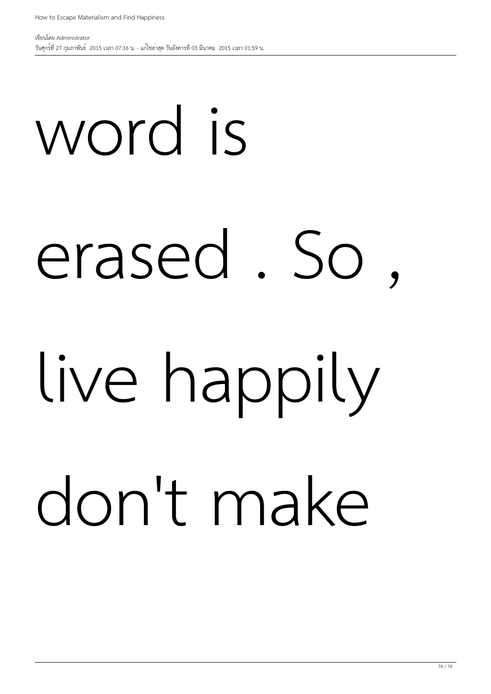# word is erased. So live happily don't make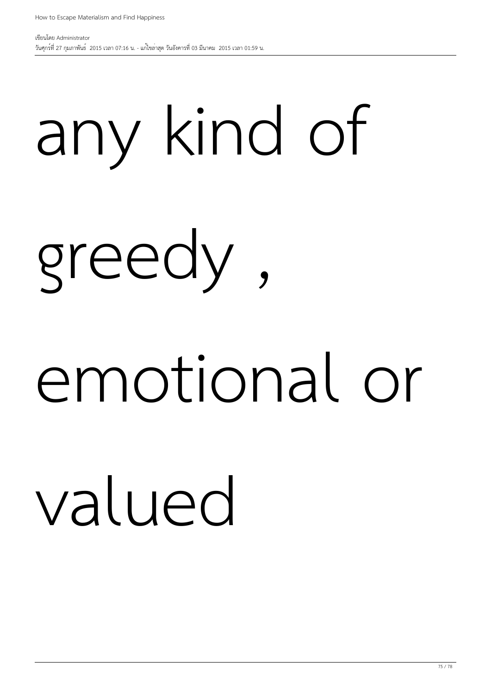## any kind of greedy ,

#### emotional or

#### valued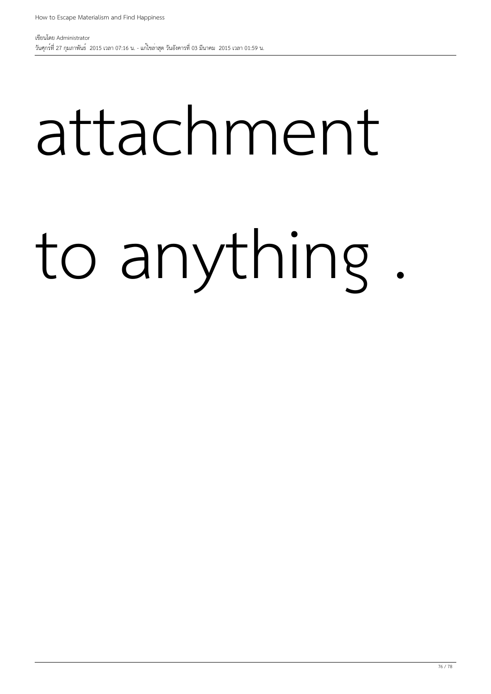## attachment to anything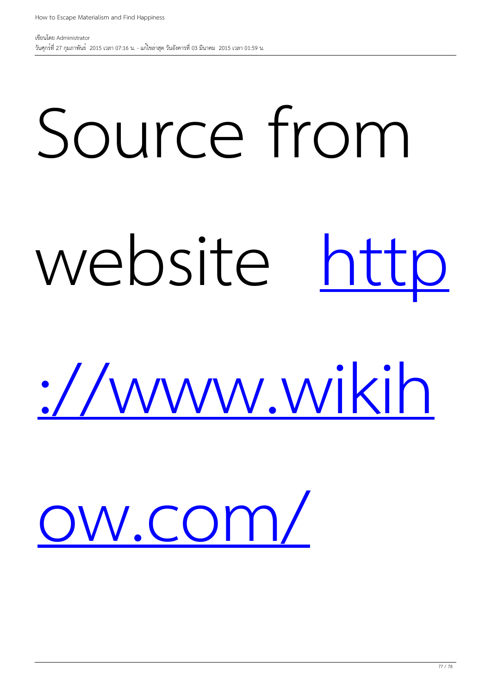# Source from website [http](http://www.wikihow.com/)

[://www.wikih](http://www.wikihow.com/)

[ow.com/](http://www.wikihow.com/)